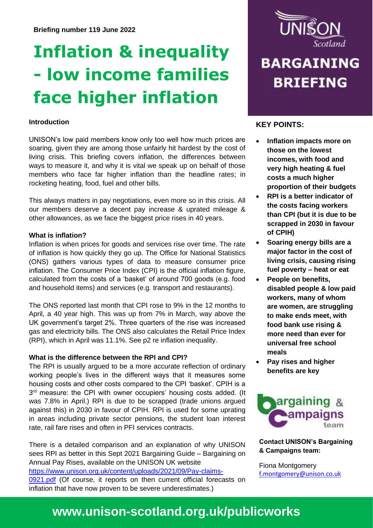# **Inflation & inequality - low income families face higher inflation**

#### **Introduction**

UNISON's low paid members know only too well how much prices are soaring, given they are among those unfairly hit hardest by the cost of living crisis. This briefing covers inflation, the differences between ways to measure it, and why it is vital we speak up on behalf of those members who face far higher inflation than the headline rates; in rocketing heating, food, fuel and other bills.

This always matters in pay negotiations, even more so in this crisis. All our members deserve a decent pay increase & uprated mileage & other allowances, as we face the biggest price rises in 40 years.

#### **What is inflation?**

Inflation is when prices for goods and services rise over time. The rate of inflation is how quickly they go up. The Office for National Statistics (ONS) gathers various types of data to measure consumer price inflation. The Consumer Price Index (CPI) is the official inflation figure, calculated from the costs of a 'basket' of around 700 goods (e.g. food and household items) and services (e.g. transport and restaurants).

The ONS reported last month that CPI rose to 9% in the 12 months to April, a 40 year high. This was up from 7% in March, way above the UK government's target 2%. Three quarters of the rise was increased gas and electricity bills. The ONS also calculates the Retail Price Index (RPI), which in April was 11.1%. See p2 re inflation inequality.

#### **What is the difference between the RPI and CPI?**

The RPI is usually argued to be a more accurate reflection of ordinary working people's lives in the different ways that it measures some housing costs and other costs compared to the CPI 'basket'. CPIH is a 3<sup>rd</sup> measure: the CPI with owner occupiers' housing costs added. (It was 7.8% in April.) RPI is due to be scrapped (trade unions argued against this) in 2030 in favour of CPIH. RPI is used for some uprating in areas including private sector pensions, the student loan interest rate, rail fare rises and often in PFI services contracts.

There is a detailed comparison and an explanation of why UNISON sees RPI as better in this Sept 2021 Bargaining Guide – Bargaining on Annual Pay Rises, available on the UNISON UK website [https://www.unison.org.uk/content/uploads/2021/09/Pay-claims-](https://www.unison.org.uk/content/uploads/2021/09/Pay-claims-0921.pdf)[0921.pdf](https://www.unison.org.uk/content/uploads/2021/09/Pay-claims-0921.pdf) (Of course, it reports on then current official forecasts on inflation that have now proven to be severe underestimates.)



## **BARGAINING BRIEFING**

#### **KEY POINTS:**

- **Inflation impacts more on those on the lowest incomes, with food and very high heating & fuel costs a much higher proportion of their budgets**
- **RPI is a better indicator of the costs facing workers than CPI (but it is due to be scrapped in 2030 in favour of CPIH)**
- **Soaring energy bills are a major factor in the cost of living crisis, causing rising fuel poverty – heat or eat**
- **People on benefits, disabled people & low paid workers, many of whom are women, are struggling to make ends meet, with food bank use rising & more need than ever for universal free school meals**
- **Pay rises and higher benefits are key**



#### **Contact UNISON's Bargaining & Campaigns team:**

Fiona Montgomery [f.montgomery@unison.co.uk](mailto:f.montgomery@unison.co.uk)

## **www.unison-scotland.org.uk/publicworks**